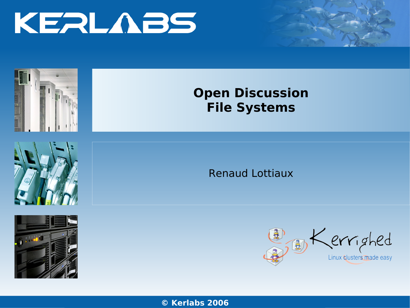





Renaud Lottiaux



**© Kerl**www**abs**.kerlabs. **2006**com



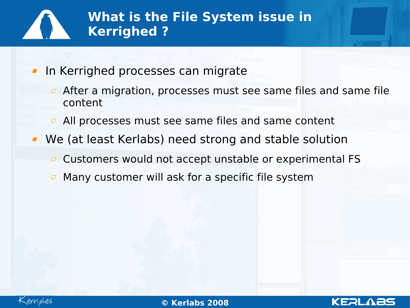

- In Kerrighed processes can migrate
	- **After a migration, processes must see same files and same file** content
	- **All processes must see same files and same content**
	- We (at least Kerlabs) need strong and stable solution
		- $\overline{p}$  Customers would not accept unstable or experimental FS
		- Many customer will ask for a specific file system

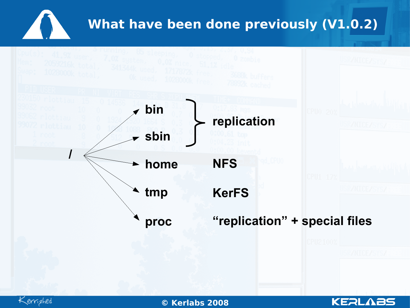# **What have been done previously (V1.0.2)**





02/0**© K** 4/08 **erlabs 2008** www.kerlabs.com <sup>3</sup>

**KERLABS**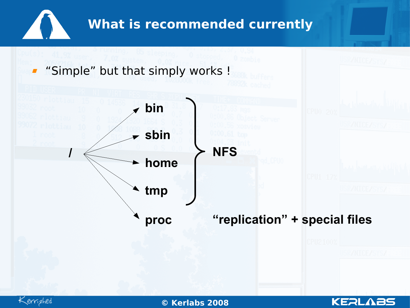





02/0**© K** 4/08 **erlabs 2008** www.kerlabs.com <sup>4</sup>

**KERLABS**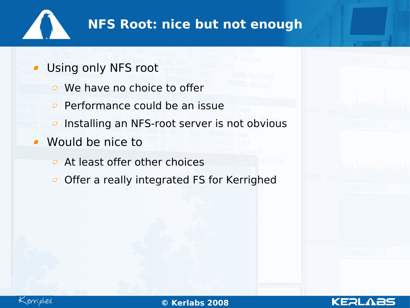

#### **NFS Root: nice but not enough**

- Using only NFS root
	- **E** We have no choice to offer
	- $\overline{P}$  Performance could be an issue
	- Installing an NFS-root server is not obvious  $\varpi$
- **Would be nice to** 
	- **At least offer other choices**
	- Offer a really integrated FS for Kerrighed $\varpi$





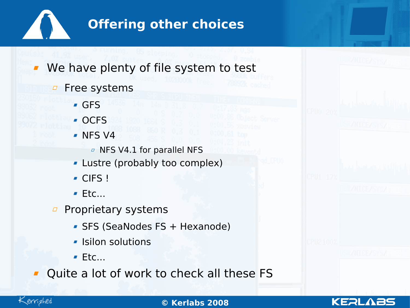

#### **Offering other choices**

We have plenty of file system to test

**P** Free systems GFS OCFS NFS V4 **D** NFS V4.1 for parallel NFS Lustre (probably too complex) CIFS !  $F$ Ftc...  $\overline{p}$  Proprietary systems • SFS (SeaNodes FS + Hexanode) **- Isilon solutions**  $Ectc...$ Quite a lot of work to check all these FS



02/0**© K** 4/08 **erlabs 2008** www.kerlabs.com <sup>6</sup>

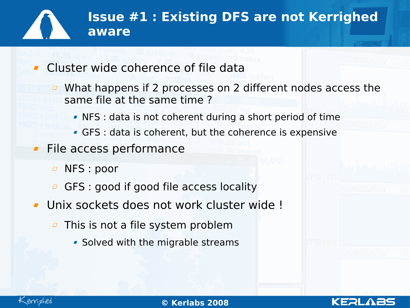# **Issue #1 : Existing DFS are not Kerrighed aware**

- Cluster wide coherence of file data
	- **E** What happens if 2 processes on 2 different nodes access the same file at the same time ?
		- NFS : data is not coherent during a short period of time
		- GFS : data is coherent, but the coherence is expensive
- File access performance
	- NFS : poor  $\Box$
	- GFS : good if good file access locality
- Unix sockets does not work cluster wide !
	- $\overline{p}$  This is not a file system problem
		- **Solved with the migrable streams**



02/0**© K** 4/08 **erlabs 2008** www.kerlabs.com <sup>7</sup>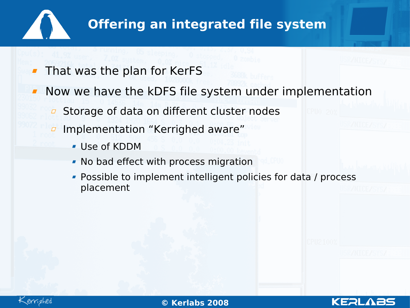

### **Offering an integrated file system**

- That was the plan for KerFS
- Now we have the kDFS file system under implementation
	- Storage of data on different cluster nodes  $\varpi$
	- Implementation "Kerrighed aware"
		- Use of KDDM
		- No bad effect with process migration
		- **Possible to implement intelligent policies for data / process** placement

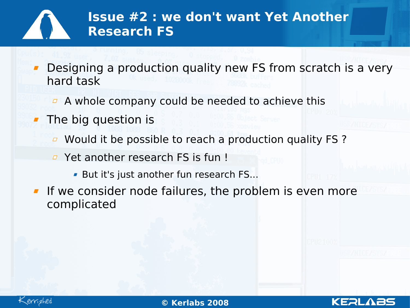# **Issue #2 : we don't want Yet Another Research FS**

- Designing a production quality new FS from scratch is a very hard task
	- $\overline{a}$  A whole company could be needed to achieve this
- **The big question is** 
	- $\overline{a}$  Would it be possible to reach a production quality FS?
	- **E** Yet another research FS is fun!
		- But it's just another fun research FS...
- **If we consider node failures, the problem is even more** complicated



02/0**© K** 4/08 **erlabs 2008** www.kerlabs.com <sup>9</sup>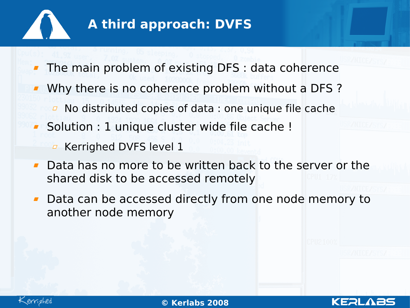

#### **A third approach: DVFS**

- The main problem of existing DFS : data coherence
- **Why there is no coherence problem without a DFS?** 
	- No distributed copies of data : one unique file cache  $\Box$
- **Solution : 1 unique cluster wide file cache !** 
	- **E** Kerrighed DVFS level 1
- **Data has no more to be written back to the server or the** shared disk to be accessed remotely
- **Data can be accessed directly from one node memory to** another node memory

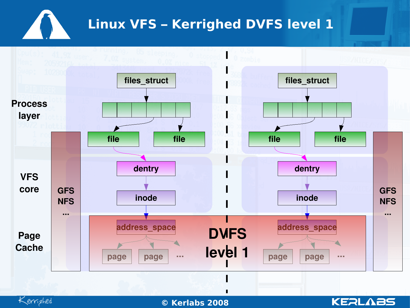### **Linux VFS – Kerrighed DVFS level 1**

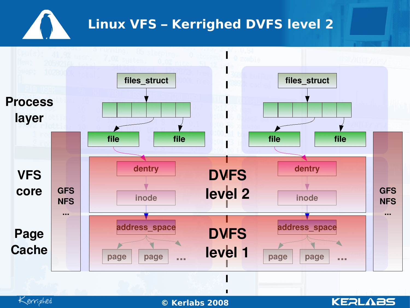### **Linux VFS – Kerrighed DVFS level 2**

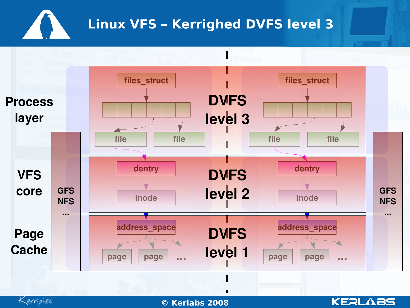# **Linux VFS – Kerrighed DVFS level 3**

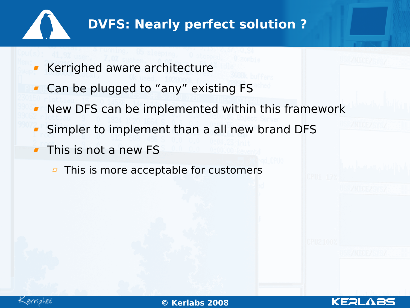

# **DVFS: Nearly perfect solution ?**

- Kerrighed aware architecture
- Can be plugged to "any" existing FS
- New DFS can be implemented within this framework
- Simpler to implement than a all new brand DFS
- **This is not a new FS** 
	- $\overline{p}$  This is more acceptable for customers



02/0**© K** 4/08 **erlabs 2008** www.kerlabs.com <sup>14</sup>